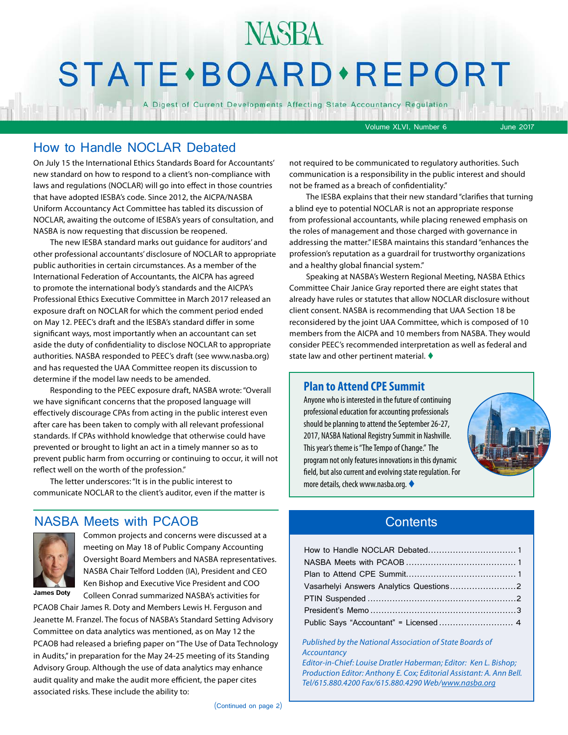## NASBA STATE · BOARD · REPORT

A Digest of Current Developments Affecting State Accountancy Regulation

Volume XLVI, Number 6 June 2017

#### How to Handle NOCLAR Debated

On July 15 the International Ethics Standards Board for Accountants' new standard on how to respond to a client's non-compliance with laws and regulations (NOCLAR) will go into effect in those countries that have adopted IESBA's code. Since 2012, the AICPA/NASBA Uniform Accountancy Act Committee has tabled its discussion of NOCLAR, awaiting the outcome of IESBA's years of consultation, and NASBA is now requesting that discussion be reopened.

The new IESBA standard marks out guidance for auditors' and other professional accountants' disclosure of NOCLAR to appropriate public authorities in certain circumstances. As a member of the International Federation of Accountants, the AICPA has agreed to promote the international body's standards and the AICPA's Professional Ethics Executive Committee in March 2017 released an exposure draft on NOCLAR for which the comment period ended on May 12. PEEC's draft and the IESBA's standard differ in some significant ways, most importantly when an accountant can set aside the duty of confidentiality to disclose NOCLAR to appropriate authorities. NASBA responded to PEEC's draft (see www.nasba.org) and has requested the UAA Committee reopen its discussion to determine if the model law needs to be amended.

Responding to the PEEC exposure draft, NASBA wrote: "Overall we have significant concerns that the proposed language will effectively discourage CPAs from acting in the public interest even after care has been taken to comply with all relevant professional standards. If CPAs withhold knowledge that otherwise could have prevented or brought to light an act in a timely manner so as to prevent public harm from occurring or continuing to occur, it will not reflect well on the worth of the profession."

The letter underscores: "It is in the public interest to communicate NOCLAR to the client's auditor, even if the matter is

#### NASBA Meets with PCAOB



Common projects and concerns were discussed at a meeting on May 18 of Public Company Accounting Oversight Board Members and NASBA representatives. NASBA Chair Telford Lodden (IA), President and CEO Ken Bishop and Executive Vice President and COO Colleen Conrad summarized NASBA's activities for

**James Doty**

PCAOB Chair James R. Doty and Members Lewis H. Ferguson and Jeanette M. Franzel. The focus of NASBA's Standard Setting Advisory Committee on data analytics was mentioned, as on May 12 the PCAOB had released a briefing paper on "The Use of Data Technology in Audits," in preparation for the May 24-25 meeting of its Standing Advisory Group. Although the use of data analytics may enhance audit quality and make the audit more efficient, the paper cites associated risks. These include the ability to:

not required to be communicated to regulatory authorities. Such communication is a responsibility in the public interest and should not be framed as a breach of confidentiality."

The IESBA explains that their new standard "clarifies that turning a blind eye to potential NOCLAR is not an appropriate response from professional accountants, while placing renewed emphasis on the roles of management and those charged with governance in addressing the matter." IESBA maintains this standard "enhances the profession's reputation as a guardrail for trustworthy organizations and a healthy global financial system."

Speaking at NASBA's Western Regional Meeting, NASBA Ethics Committee Chair Janice Gray reported there are eight states that already have rules or statutes that allow NOCLAR disclosure without client consent. NASBA is recommending that UAA Section 18 be reconsidered by the joint UAA Committee, which is composed of 10 members from the AICPA and 10 members from NASBA. They would consider PEEC's recommended interpretation as well as federal and state law and other pertinent material.  $\blacklozenge$ 

#### **Plan to Attend CPE Summit**

Anyone who is interested in the future of continuing professional education for accounting professionals should be planning to attend the September 26-27, 2017, NASBA National Registry Summit in Nashville. This year's theme is "The Tempo of Change." The program not only features innovations in this dynamic field, but also current and evolving state regulation. For more details, check www.nasba.org.



#### **Contents**

| Public Says "Accountant" = Licensed 4 |  |
|---------------------------------------|--|

*Published by the National Association of State Boards of Accountancy Editor-in-Chief: Louise Dratler Haberman; Editor: Ken L. Bishop; Production Editor: Anthony E. Cox; Editorial Assistant: A. Ann Bell. Tel/615.880.4200 Fax/615.880.4290 Web/[www.nasba.org](http://www.nasba.org)*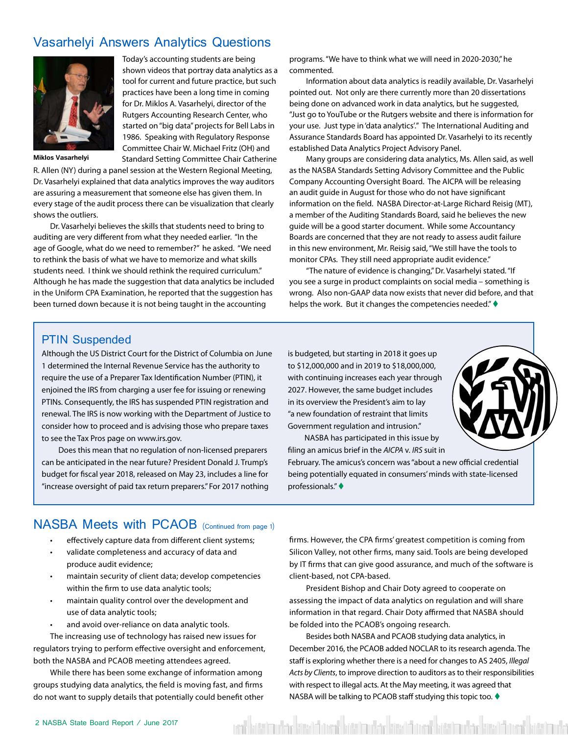#### <span id="page-1-0"></span>Vasarhelyi Answers Analytics Questions



Today's accounting students are being shown videos that portray data analytics as a tool for current and future practice, but such practices have been a long time in coming for Dr. Miklos A. Vasarhelyi, director of the Rutgers Accounting Research Center, who started on "big data" projects for Bell Labs in 1986. Speaking with Regulatory Response Committee Chair W. Michael Fritz (OH) and Standard Setting Committee Chair Catherine

**Miklos Vasarhelyi**

R. Allen (NY) during a panel session at the Western Regional Meeting, Dr. Vasarhelyi explained that data analytics improves the way auditors are assuring a measurement that someone else has given them. In every stage of the audit process there can be visualization that clearly shows the outliers.

Dr. Vasarhelyi believes the skills that students need to bring to auditing are very different from what they needed earlier. "In the age of Google, what do we need to remember?" he asked. "We need to rethink the basis of what we have to memorize and what skills students need. I think we should rethink the required curriculum." Although he has made the suggestion that data analytics be included in the Uniform CPA Examination, he reported that the suggestion has been turned down because it is not being taught in the accounting

programs. "We have to think what we will need in 2020-2030," he commented.

Information about data analytics is readily available, Dr. Vasarhelyi pointed out. Not only are there currently more than 20 dissertations being done on advanced work in data analytics, but he suggested, "Just go to YouTube or the Rutgers website and there is information for your use. Just type in 'data analytics'." The International Auditing and Assurance Standards Board has appointed Dr. Vasarhelyi to its recently established Data Analytics Project Advisory Panel.

Many groups are considering data analytics, Ms. Allen said, as well as the NASBA Standards Setting Advisory Committee and the Public Company Accounting Oversight Board. The AICPA will be releasing an audit guide in August for those who do not have significant information on the field. NASBA Director-at-Large Richard Reisig (MT), a member of the Auditing Standards Board, said he believes the new guide will be a good starter document. While some Accountancy Boards are concerned that they are not ready to assess audit failure in this new environment, Mr. Reisig said, "We still have the tools to monitor CPAs. They still need appropriate audit evidence."

"The nature of evidence is changing," Dr. Vasarhelyi stated. "If you see a surge in product complaints on social media – something is wrong. Also non-GAAP data now exists that never did before, and that helps the work. But it changes the competencies needed." $\blacklozenge$ 

#### PTIN Suspended

Although the US District Court for the District of Columbia on June 1 determined the Internal Revenue Service has the authority to require the use of a Preparer Tax Identification Number (PTIN), it enjoined the IRS from charging a user fee for issuing or renewing PTINs. Consequently, the IRS has suspended PTIN registration and renewal. The IRS is now working with the Department of Justice to consider how to proceed and is advising those who prepare taxes to see the Tax Pros page on www.irs.gov.

Does this mean that no regulation of non-licensed preparers can be anticipated in the near future? President Donald J. Trump's budget for fiscal year 2018, released on May 23, includes a line for "increase oversight of paid tax return preparers." For 2017 nothing is budgeted, but starting in 2018 it goes up to \$12,000,000 and in 2019 to \$18,000,000, with continuing increases each year through 2027. However, the same budget includes in its overview the President's aim to lay "a new foundation of restraint that limits Government regulation and intrusion."

NASBA has participated in this issue by filing an amicus brief in the *AICPA* v. *IRS* suit in

February. The amicus's concern was "about a new official credential being potentially equated in consumers' minds with state-licensed professionals." $\blacklozenge$ 

#### NASBA Meets with PCAOB (Continued from page 1)

- effectively capture data from different client systems;
- validate completeness and accuracy of data and produce audit evidence;
- maintain security of client data; develop competencies within the firm to use data analytic tools;
- maintain quality control over the development and use of data analytic tools;
- and avoid over-reliance on data analytic tools.

The increasing use of technology has raised new issues for regulators trying to perform effective oversight and enforcement, both the NASBA and PCAOB meeting attendees agreed.

While there has been some exchange of information among groups studying data analytics, the field is moving fast, and firms do not want to supply details that potentially could benefit other

firms. However, the CPA firms' greatest competition is coming from Silicon Valley, not other firms, many said. Tools are being developed by IT firms that can give good assurance, and much of the software is client-based, not CPA-based.

President Bishop and Chair Doty agreed to cooperate on assessing the impact of data analytics on regulation and will share information in that regard. Chair Doty affirmed that NASBA should be folded into the PCAOB's ongoing research.

Besides both NASBA and PCAOB studying data analytics, in December 2016, the PCAOB added NOCLAR to its research agenda. The staff is exploring whether there is a need for changes to AS 2405, *Illegal Acts by Clients*, to improve direction to auditors as to their responsibilities with respect to illegal acts. At the May meeting, it was agreed that NASBA will be talking to PCAOB staff studying this topic too.  $\blacklozenge$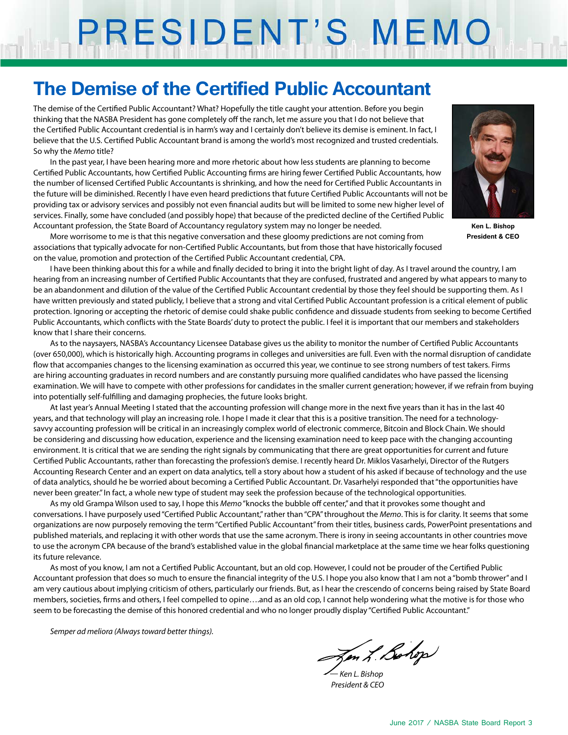# PRESIDENT'S MEMO

## **The Demise of the Certified Public Accountant**

The demise of the Certified Public Accountant? What? Hopefully the title caught your attention. Before you begin thinking that the NASBA President has gone completely off the ranch, let me assure you that I do not believe that the Certified Public Accountant credential is in harm's way and I certainly don't believe its demise is eminent. In fact, I believe that the U.S. Certified Public Accountant brand is among the world's most recognized and trusted credentials. So why the *Memo* title?

In the past year, I have been hearing more and more rhetoric about how less students are planning to become Certified Public Accountants, how Certified Public Accounting firms are hiring fewer Certified Public Accountants, how the number of licensed Certified Public Accountants is shrinking, and how the need for Certified Public Accountants in the future will be diminished. Recently I have even heard predictions that future Certified Public Accountants will not be providing tax or advisory services and possibly not even financial audits but will be limited to some new higher level of services. Finally, some have concluded (and possibly hope) that because of the predicted decline of the Certified Public Accountant profession, the State Board of Accountancy regulatory system may no longer be needed.



**Ken L. Bishop President & CEO**

More worrisome to me is that this negative conversation and these gloomy predictions are not coming from associations that typically advocate for non-Certified Public Accountants, but from those that have historically focused on the value, promotion and protection of the Certified Public Accountant credential, CPA.

I have been thinking about this for a while and finally decided to bring it into the bright light of day. As I travel around the country, I am hearing from an increasing number of Certified Public Accountants that they are confused, frustrated and angered by what appears to many to be an abandonment and dilution of the value of the Certified Public Accountant credential by those they feel should be supporting them. As I have written previously and stated publicly, I believe that a strong and vital Certified Public Accountant profession is a critical element of public protection. Ignoring or accepting the rhetoric of demise could shake public confidence and dissuade students from seeking to become Certified Public Accountants, which conflicts with the State Boards' duty to protect the public. I feel it is important that our members and stakeholders know that I share their concerns.

As to the naysayers, NASBA's Accountancy Licensee Database gives us the ability to monitor the number of Certified Public Accountants (over 650,000), which is historically high. Accounting programs in colleges and universities are full. Even with the normal disruption of candidate flow that accompanies changes to the licensing examination as occurred this year, we continue to see strong numbers of test takers. Firms are hiring accounting graduates in record numbers and are constantly pursuing more qualified candidates who have passed the licensing examination. We will have to compete with other professions for candidates in the smaller current generation; however, if we refrain from buying into potentially self-fulfilling and damaging prophecies, the future looks bright.

At last year's Annual Meeting I stated that the accounting profession will change more in the next five years than it has in the last 40 years, and that technology will play an increasing role. I hope I made it clear that this is a positive transition. The need for a technologysavvy accounting profession will be critical in an increasingly complex world of electronic commerce, Bitcoin and Block Chain. We should be considering and discussing how education, experience and the licensing examination need to keep pace with the changing accounting environment. It is critical that we are sending the right signals by communicating that there are great opportunities for current and future Certified Public Accountants, rather than forecasting the profession's demise. I recently heard Dr. Miklos Vasarhelyi, Director of the Rutgers Accounting Research Center and an expert on data analytics, tell a story about how a student of his asked if because of technology and the use of data analytics, should he be worried about becoming a Certified Public Accountant. Dr. Vasarhelyi responded that "the opportunities have never been greater." In fact, a whole new type of student may seek the profession because of the technological opportunities.

As my old Grampa Wilson used to say, I hope this *Memo* "knocks the bubble off center," and that it provokes some thought and conversations. I have purposely used "Certified Public Accountant," rather than "CPA" throughout the *Memo*. This is for clarity. It seems that some organizations are now purposely removing the term "Certified Public Accountant" from their titles, business cards, PowerPoint presentations and published materials, and replacing it with other words that use the same acronym. There is irony in seeing accountants in other countries move to use the acronym CPA because of the brand's established value in the global financial marketplace at the same time we hear folks questioning its future relevance.

As most of you know, I am not a Certified Public Accountant, but an old cop. However, I could not be prouder of the Certified Public Accountant profession that does so much to ensure the financial integrity of the U.S. I hope you also know that I am not a "bomb thrower" and I am very cautious about implying criticism of others, particularly our friends. But, as I hear the crescendo of concerns being raised by State Board members, societies, firms and others, I feel compelled to opine….and as an old cop, I cannot help wondering what the motive is for those who seem to be forecasting the demise of this honored credential and who no longer proudly display "Certified Public Accountant."

*Semper ad meliora (Always toward better things).*

Jen L. Bohop

*— Ken L. Bishop President & CEO*